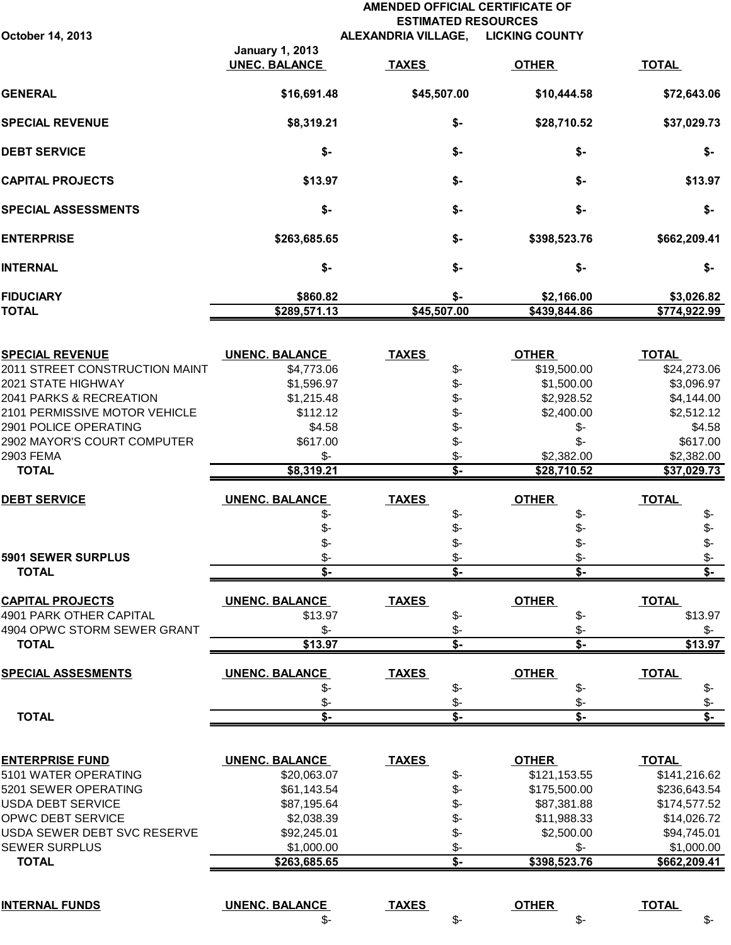## **AMENDED OFFICIAL CERTIFICATE OF ESTIMATED RESOURCES October 14, 2013 ALEXANDRIA VILLAGE, LICKING COUNTY**

|                            | <b>January 1, 2013</b><br><b>UNEC. BALANCE</b> | <b>TAXES</b>       | <b>OTHER</b>               | <b>TOTAL</b>               |
|----------------------------|------------------------------------------------|--------------------|----------------------------|----------------------------|
| <b>GENERAL</b>             | \$16,691.48                                    | \$45,507.00        | \$10,444.58                | \$72,643.06                |
| <b>SPECIAL REVENUE</b>     | \$8,319.21                                     | \$-                | \$28,710.52                | \$37,029.73                |
| <b>DEBT SERVICE</b>        | \$-                                            | \$-                | \$-                        | \$-                        |
| <b>CAPITAL PROJECTS</b>    | \$13.97                                        | \$-                | \$-                        | \$13.97                    |
| <b>SPECIAL ASSESSMENTS</b> | \$-                                            | \$-                | \$-                        | \$-                        |
| <b>ENTERPRISE</b>          | \$263,685.65                                   | \$-                | \$398,523.76               | \$662,209.41               |
| INTERNAL                   | \$-                                            | \$-                | \$-                        | \$-                        |
| <b>FIDUCIARY</b><br>TOTAL  | \$860.82<br>\$289,571.13                       | \$-<br>\$45,507.00 | \$2,166.00<br>\$439,844.86 | \$3,026.82<br>\$774,922.99 |
|                            |                                                |                    |                            |                            |

| <u>SPECIAL REVENUE</u>                             | <b>UNENC. BALANCE</b>   | <u>TAXES</u> |                                 | <b>OTHER</b>                   | <b>TOTAL</b>            |
|----------------------------------------------------|-------------------------|--------------|---------------------------------|--------------------------------|-------------------------|
| 2011 STREET CONSTRUCTION MAINT                     | \$4,773.06              |              | \$-                             | \$19,500.00                    | \$24,273.06             |
| 2021 STATE HIGHWAY                                 | \$1,596.97              |              | \$-                             | \$1,500.00                     | \$3,096.97              |
| 2041 PARKS & RECREATION                            | \$1,215.48              |              | \$-                             | \$2,928.52                     | \$4,144.00              |
| 2101 PERMISSIVE MOTOR VEHICLE                      | \$112.12                |              | \$-                             | \$2,400.00                     | \$2,512.12              |
| 2901 POLICE OPERATING                              | \$4.58                  |              | \$-                             | \$-                            | \$4.58                  |
| 2902 MAYOR'S COURT COMPUTER                        | \$617.00                |              | \$-                             | $$-$                           | \$617.00                |
| 2903 FEMA                                          | $\frac{2}{3}$           |              | \$-                             | \$2,382.00                     | \$2,382.00              |
| <b>TOTAL</b>                                       | \$8,319.21              |              | $\overline{\mathsf{s}}$         | \$28,710.52                    | \$37,029.73             |
| <b>DEBT SERVICE</b>                                | <b>UNENC. BALANCE</b>   | <b>TAXES</b> |                                 | <b>OTHER</b>                   | <b>TOTAL</b>            |
|                                                    | \$-                     |              | \$-                             | \$-                            | \$-                     |
|                                                    |                         |              | \$-                             | $$-$                           | \$-                     |
|                                                    | \$-                     |              | $\frac{2}{3}$                   | \$-                            | \$-                     |
| 5901 SEWER SURPLUS                                 | \$-                     |              | $\frac{2}{3}$                   | \$-                            | \$-                     |
| <b>TOTAL</b>                                       | 3-                      |              | $\overline{\mathsf{s}}$         | $\overline{\mathsf{s}}$        | $\overline{\mathsf{s}}$ |
|                                                    |                         |              |                                 |                                |                         |
| <b>CAPITAL PROJECTS</b><br>4901 PARK OTHER CAPITAL | <b>UNENC. BALANCE</b>   | <b>TAXES</b> |                                 | <b>OTHER</b>                   | <b>TOTAL</b>            |
|                                                    | \$13.97                 |              | $\frac{2}{3}$                   | $\frac{2}{3}$                  | \$13.97                 |
| 4904 OPWC STORM SEWER GRANT                        | $\frac{2}{3}$           |              | $$-$<br>$\overline{\mathsf{s}}$ | \$-<br>$\overline{\mathsf{s}}$ | \$-                     |
| <b>TOTAL</b>                                       | \$13.97                 |              |                                 |                                | \$13.97                 |
| <b>SPECIAL ASSESMENTS</b>                          | <b>UNENC. BALANCE</b>   | <b>TAXES</b> |                                 | <b>OTHER</b>                   | <b>TOTAL</b>            |
|                                                    | \$-                     |              | \$-                             | \$-                            | \$-                     |
|                                                    | \$-                     |              | \$-                             | \$-                            | \$-                     |
| <b>TOTAL</b>                                       | $\overline{\mathsf{s}}$ |              | $\overline{\mathbf{s}}$         | $\overline{\mathsf{s}}$        | $\overline{\mathsf{s}}$ |
|                                                    |                         |              |                                 |                                |                         |
| <b>ENTERPRISE FUND</b>                             | <b>UNENC. BALANCE</b>   | <b>TAXES</b> |                                 | <b>OTHER</b>                   | <b>TOTAL</b>            |
| 5101 WATER OPERATING                               | \$20,063.07             |              | \$-                             | \$121,153.55                   | \$141,216.62            |
| 5201 SEWER OPERATING                               | \$61,143.54             |              | $$-$                            | \$175,500.00                   | \$236,643.54            |
| <b>USDA DEBT SERVICE</b>                           | \$87,195.64             |              | $\frac{2}{3}$                   | \$87,381.88                    | \$174,577.52            |
| OPWC DEBT SERVICE                                  | \$2,038.39              |              | $\frac{2}{3}$                   | \$11,988.33                    | \$14,026.72             |
| USDA SEWER DEBT SVC RESERVE                        | \$92,245.01             |              | $\frac{2}{3}$                   | \$2,500.00                     | \$94,745.01             |
| <b>SEWER SURPLUS</b>                               | \$1,000.00              |              | $$-$                            | $S-$                           | \$1,000.00              |
| <b>TOTAL</b>                                       | \$263,685.65            |              | $\overline{\mathbf{s}}$         | \$398,523.76                   | \$662,209.41            |
|                                                    |                         |              |                                 |                                |                         |
| <b>INTERNAL FUNDS</b>                              | <b>UNENC. BALANCE</b>   | <b>TAXES</b> |                                 | <b>OTHER</b>                   | <b>TOTAL</b>            |
|                                                    | \$-                     |              | \$-                             | \$-                            | $\frac{2}{3}$           |